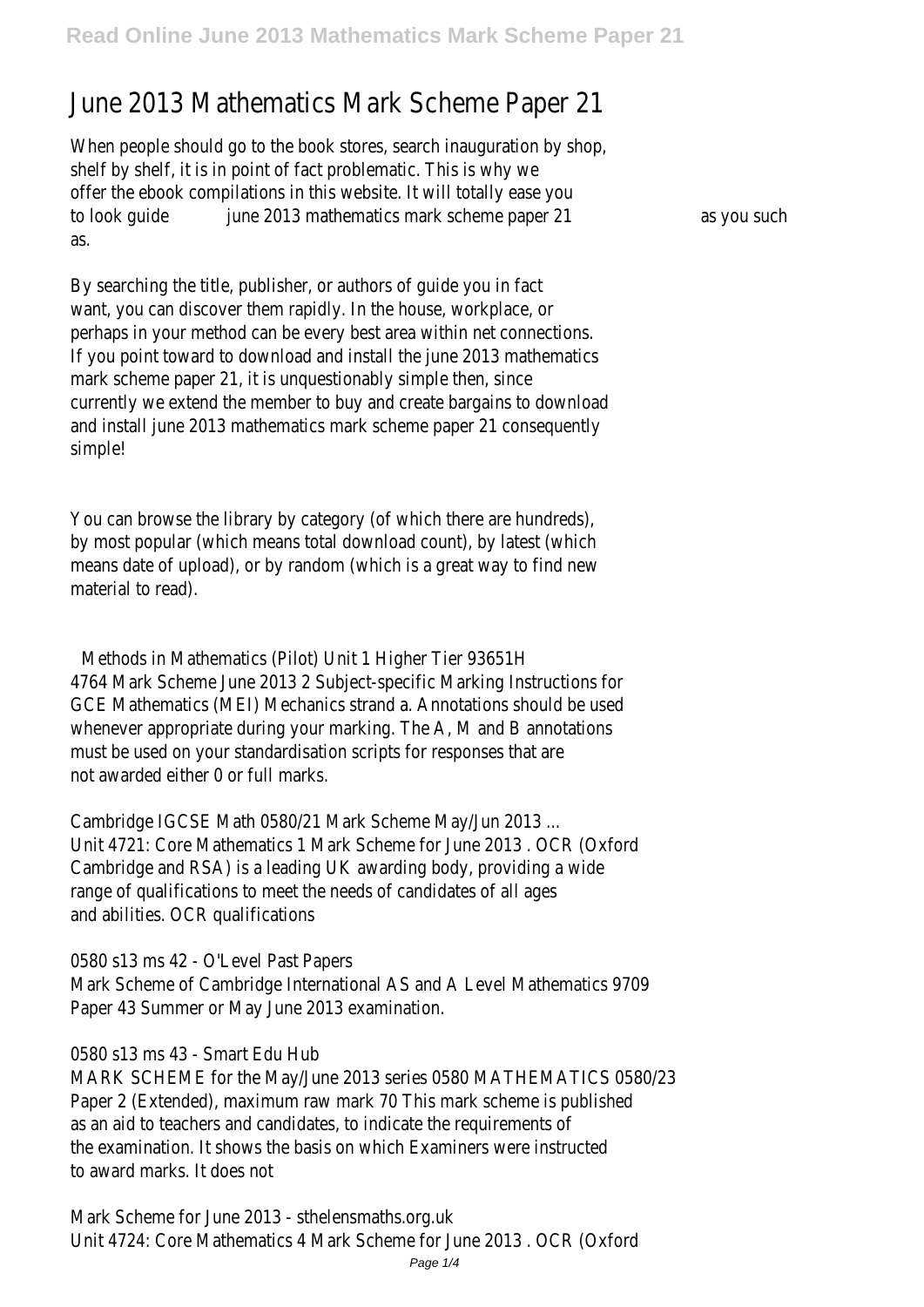# June 2013 Mathematics Mark Scheme Paper 21

When people should go to the book stores, search inauguration by shop, shelf by shelf, it is in point of fact problematic. This is why we offer the ebook compilations in this website. It will totally ease you to look quide june 2013 mathematics mark scheme paper 21 as you such as.

By searching the title, publisher, or authors of guide you in fact want, you can discover them rapidly. In the house, workplace, or perhaps in your method can be every best area within net connections. If you point toward to download and install the june 2013 mathematics mark scheme paper 21, it is unquestionably simple then, since currently we extend the member to buy and create bargains to download and install june 2013 mathematics mark scheme paper 21 consequently simple!

You can browse the library by category (of which there are hundreds), by most popular (which means total download count), by latest (which means date of upload), or by random (which is a great way to find new material to read).

Methods in Mathematics (Pilot) Unit 1 Higher Tier 93651H 4764 Mark Scheme June 2013 2 Subject-specific Marking Instructions for GCE Mathematics (MEI) Mechanics strand a. Annotations should be used whenever appropriate during your marking. The A, M and B annotations must be used on your standardisation scripts for responses that are not awarded either 0 or full marks.

Cambridge IGCSE Math 0580/21 Mark Scheme May/Jun 2013 ... Unit 4721: Core Mathematics 1 Mark Scheme for June 2013 . OCR (Oxford Cambridge and RSA) is a leading UK awarding body, providing a wide range of qualifications to meet the needs of candidates of all ages and abilities. OCR qualifications

0580 s13 ms 42 - O'Level Past Papers Mark Scheme of Cambridge International AS and A Level Mathematics 9709 Paper 43 Summer or May June 2013 examination.

0580 s13 ms 43 - Smart Edu Hub

MARK SCHEME for the May/June 2013 series 0580 MATHEMATICS 0580/23 Paper 2 (Extended), maximum raw mark 70 This mark scheme is published as an aid to teachers and candidates, to indicate the requirements of the examination. It shows the basis on which Examiners were instructed to award marks. It does not

Mark Scheme for June 2013 - sthelensmaths.org.uk Unit 4724: Core Mathematics 4 Mark Scheme for June 2013 . OCR (Oxford

Page 1/4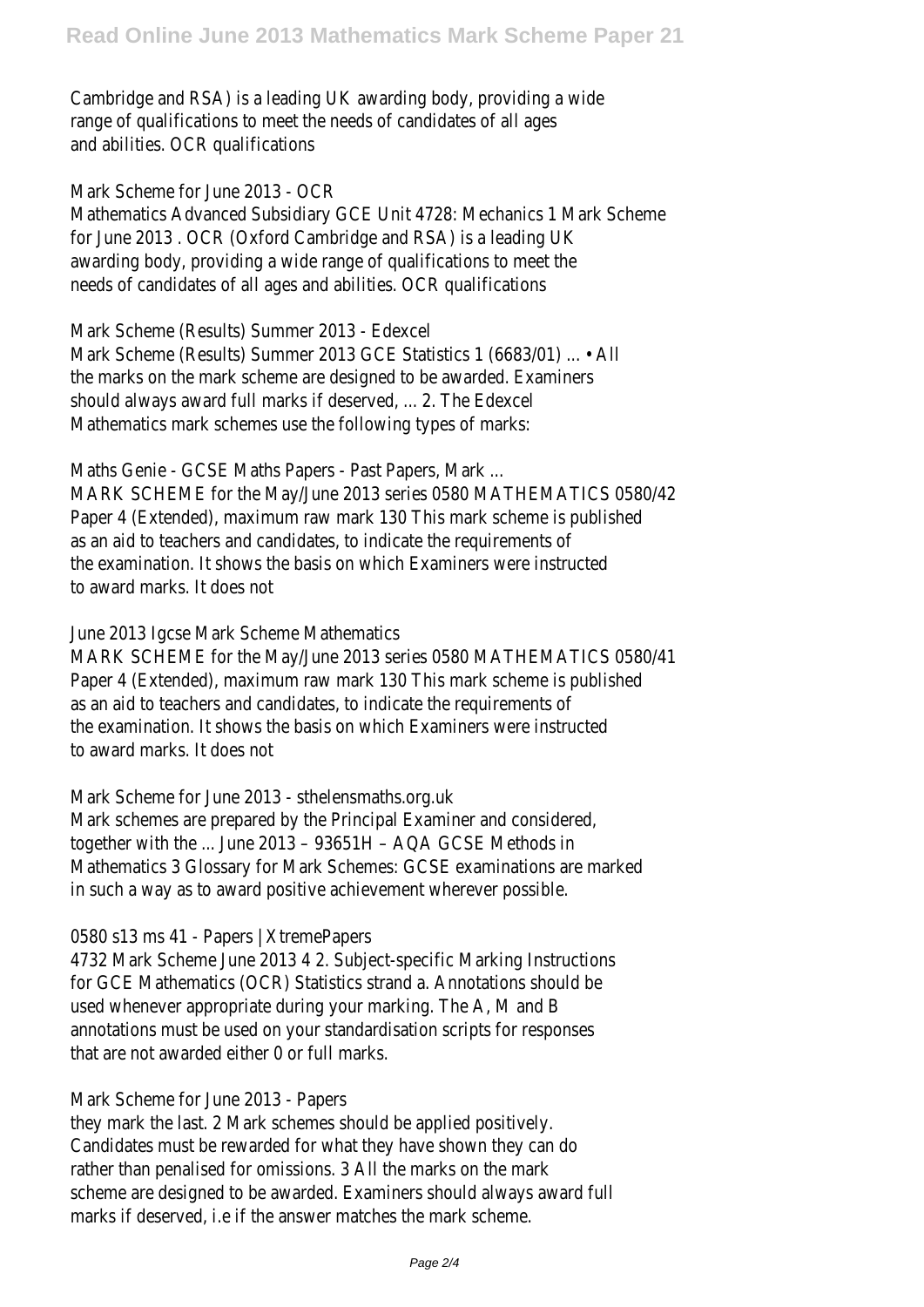Cambridge and RSA) is a leading UK awarding body, providing a wide range of qualifications to meet the needs of candidates of all ages and abilities. OCR qualifications

Mark Scheme for June 2013 - OCR

Mathematics Advanced Subsidiary GCE Unit 4728: Mechanics 1 Mark Scheme for June 2013 . OCR (Oxford Cambridge and RSA) is a leading UK awarding body, providing a wide range of qualifications to meet the needs of candidates of all ages and abilities. OCR qualifications

Mark Scheme (Results) Summer 2013 - Edexcel Mark Scheme (Results) Summer 2013 GCE Statistics 1 (6683/01) ... • All the marks on the mark scheme are designed to be awarded. Examiners should always award full marks if deserved, ... 2. The Edexcel Mathematics mark schemes use the following types of marks:

Maths Genie - GCSE Maths Papers - Past Papers, Mark ... MARK SCHEME for the May/June 2013 series 0580 MATHEMATICS 0580/42 Paper 4 (Extended), maximum raw mark 130 This mark scheme is published as an aid to teachers and candidates, to indicate the requirements of the examination. It shows the basis on which Examiners were instructed to award marks. It does not

### June 2013 Igcse Mark Scheme Mathematics

MARK SCHEME for the May/June 2013 series 0580 MATHEMATICS 0580/41 Paper 4 (Extended), maximum raw mark 130 This mark scheme is published as an aid to teachers and candidates, to indicate the requirements of the examination. It shows the basis on which Examiners were instructed to award marks. It does not

Mark Scheme for June 2013 - sthelensmaths.org.uk Mark schemes are prepared by the Principal Examiner and considered, together with the ... June 2013 – 93651H – AQA GCSE Methods in Mathematics 3 Glossary for Mark Schemes: GCSE examinations are marked in such a way as to award positive achievement wherever possible.

# 0580 s13 ms 41 - Papers | XtremePapers

4732 Mark Scheme June 2013 4 2. Subject-specific Marking Instructions for GCE Mathematics (OCR) Statistics strand a. Annotations should be used whenever appropriate during your marking. The A, M and B annotations must be used on your standardisation scripts for responses that are not awarded either 0 or full marks.

# Mark Scheme for June 2013 - Papers

they mark the last. 2 Mark schemes should be applied positively. Candidates must be rewarded for what they have shown they can do rather than penalised for omissions. 3 All the marks on the mark scheme are designed to be awarded. Examiners should always award full marks if deserved, i.e if the answer matches the mark scheme.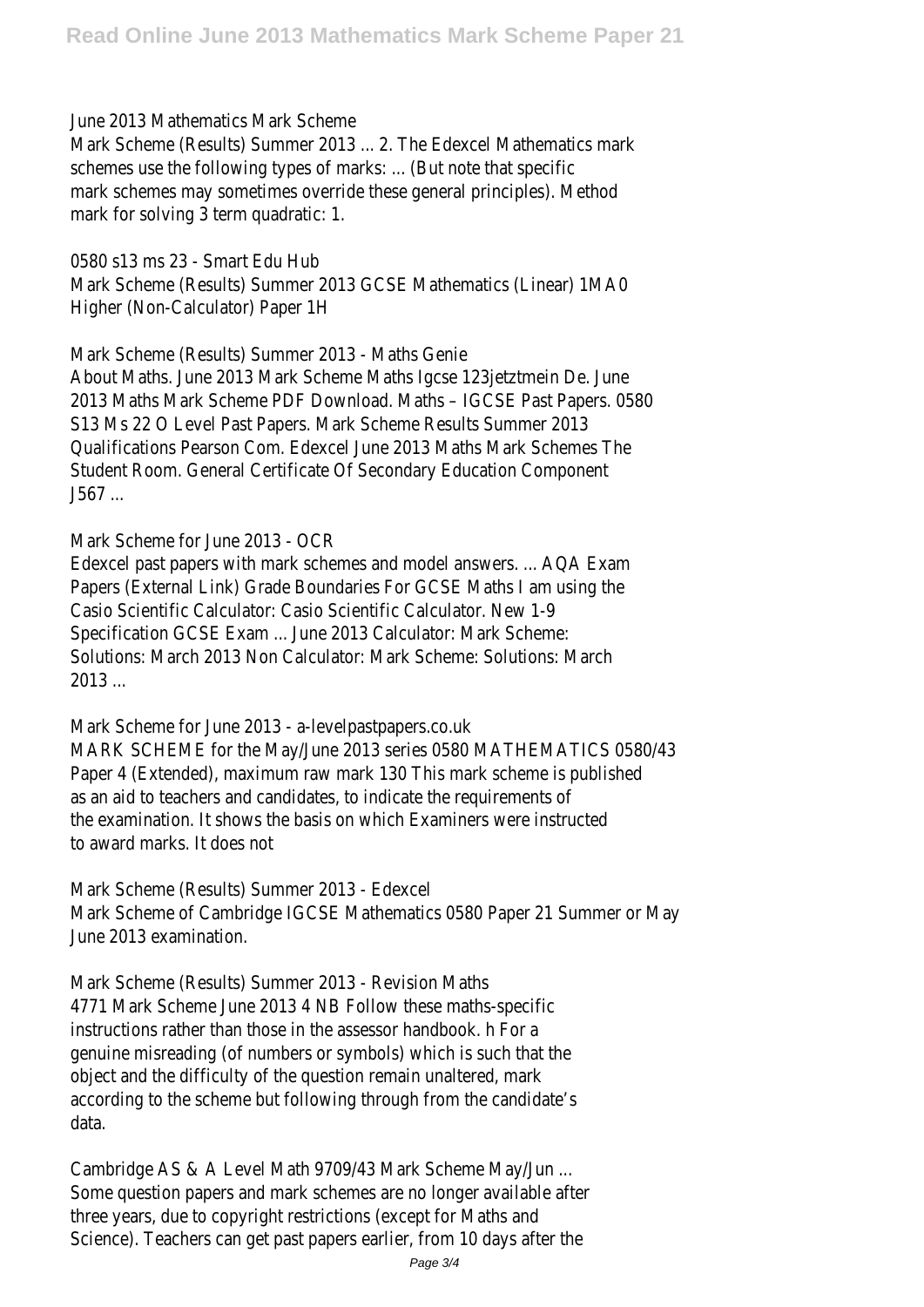### June 2013 Mathematics Mark Scheme

Mark Scheme (Results) Summer 2013 ... 2. The Edexcel Mathematics mark schemes use the following types of marks: ... (But note that specific mark schemes may sometimes override these general principles). Method mark for solving 3 term quadratic: 1.

0580 s13 ms 23 - Smart Edu Hub Mark Scheme (Results) Summer 2013 GCSE Mathematics (Linear) 1MA0 Higher (Non-Calculator) Paper 1H

Mark Scheme (Results) Summer 2013 - Maths Genie About Maths. June 2013 Mark Scheme Maths Igcse 123jetztmein De. June 2013 Maths Mark Scheme PDF Download. Maths – IGCSE Past Papers. 0580 S13 Ms 22 O Level Past Papers. Mark Scheme Results Summer 2013 Qualifications Pearson Com. Edexcel June 2013 Maths Mark Schemes The Student Room. General Certificate Of Secondary Education Component J567 ...

Mark Scheme for June 2013 - OCR

Edexcel past papers with mark schemes and model answers. ... AQA Exam Papers (External Link) Grade Boundaries For GCSE Maths I am using the Casio Scientific Calculator: Casio Scientific Calculator. New 1-9 Specification GCSE Exam ... June 2013 Calculator: Mark Scheme: Solutions: March 2013 Non Calculator: Mark Scheme: Solutions: March 2013 ...

Mark Scheme for June 2013 - a-levelpastpapers.co.uk MARK SCHEME for the May/June 2013 series 0580 MATHEMATICS 0580/43 Paper 4 (Extended), maximum raw mark 130 This mark scheme is published as an aid to teachers and candidates, to indicate the requirements of the examination. It shows the basis on which Examiners were instructed to award marks. It does not

Mark Scheme (Results) Summer 2013 - Edexcel Mark Scheme of Cambridge IGCSE Mathematics 0580 Paper 21 Summer or May June 2013 examination.

Mark Scheme (Results) Summer 2013 - Revision Maths 4771 Mark Scheme June 2013 4 NB Follow these maths-specific instructions rather than those in the assessor handbook. h For a genuine misreading (of numbers or symbols) which is such that the object and the difficulty of the question remain unaltered, mark according to the scheme but following through from the candidate's data.

Cambridge AS & A Level Math 9709/43 Mark Scheme May/Jun ... Some question papers and mark schemes are no longer available after three years, due to copyright restrictions (except for Maths and Science). Teachers can get past papers earlier, from 10 days after the